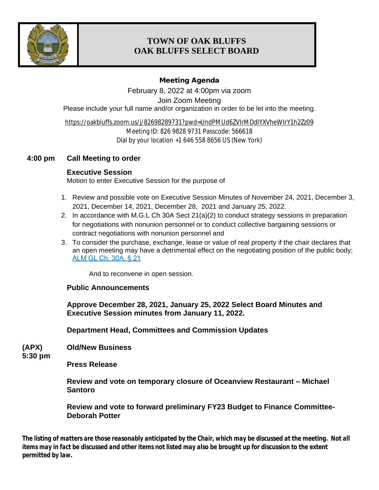

# **TOWN OF OAK BLUFFS OAK BLUFFS SELECT BOARD**

### **Meeting Agenda**

February 8, 2022 at 4:00pm via zoom Join Zoom Meeting Please include your full name and/or organization in order to be let into the meeting.

<https://oakbluffs.zoom.us/j/82698289731?pwd=UndPMUd6ZVIrMDdIYXVheWIrY1h2Zz09> Meeting ID: 826 9828 9731 Passcode: 566618 Dial by your location +1 646 558 8656 US (New York)

## **4:00 pm Call Meeting to order**

## **Executive Session**

Motion to enter Executive Session for the purpose of

- 1. Review and possible vote on Executive Session Minutes of November 24, 2021, December 3, 2021, December 14, 2021, December 28, 2021 and January 25, 2022.
- 2. In accordance with M.G.L Ch 30A Sect 21(a)(2) to conduct strategy sessions in preparation for negotiations with nonunion personnel or to conduct collective bargaining sessions or contract negotiations with nonunion personnel and
- 3. To consider the purchase, exchange, lease or value of real property if the chair declares that an open meeting may have a detrimental effect on the negotiating position of the public body; [ALM GL Ch. 30A, § 21](https://advance.lexis.com/api/document/collection/statutes-legislation/id/5FF4-89V1-6HMW-V44J-00000-00?cite=ALM%20GL%20ch.%2030A%2C%20%C2%A7%2021&context=1000516)

[And](https://advance.lexis.com/api/document/collection/statutes-legislation/id/5FF4-89V1-6HMW-V44J-00000-00?cite=ALM%20GL%20ch.%2030A%2C%20%C2%A7%2021&context=1000516) [to reconvene in open session.](https://advance.lexis.com/api/document/collection/statutes-legislation/id/5FF4-89V1-6HMW-V44J-00000-00?cite=ALM%20GL%20ch.%2030A%2C%20%C2%A7%2021&context=1000516)

#### **[Public Announcements](https://advance.lexis.com/api/document/collection/statutes-legislation/id/5FF4-89V1-6HMW-V44J-00000-00?cite=ALM%20GL%20ch.%2030A%2C%20%C2%A7%2021&context=1000516)**

**[Approve December 28, 2021, January 25, 2022 Select Board Minutes and](https://advance.lexis.com/api/document/collection/statutes-legislation/id/5FF4-89V1-6HMW-V44J-00000-00?cite=ALM%20GL%20ch.%2030A%2C%20%C2%A7%2021&context=1000516)  [Executive Session minutes from January](https://advance.lexis.com/api/document/collection/statutes-legislation/id/5FF4-89V1-6HMW-V44J-00000-00?cite=ALM%20GL%20ch.%2030A%2C%20%C2%A7%2021&context=1000516) [11, 2022.](https://advance.lexis.com/api/document/collection/statutes-legislation/id/5FF4-89V1-6HMW-V44J-00000-00?cite=ALM%20GL%20ch.%2030A%2C%20%C2%A7%2021&context=1000516)**

**[Department Head, Committees and Commission Updates](https://advance.lexis.com/api/document/collection/statutes-legislation/id/5FF4-89V1-6HMW-V44J-00000-00?cite=ALM%20GL%20ch.%2030A%2C%20%C2%A7%2021&context=1000516)**

**[\(APX\)](https://advance.lexis.com/api/document/collection/statutes-legislation/id/5FF4-89V1-6HMW-V44J-00000-00?cite=ALM%20GL%20ch.%2030A%2C%20%C2%A7%2021&context=1000516) [Old/New Business](https://advance.lexis.com/api/document/collection/statutes-legislation/id/5FF4-89V1-6HMW-V44J-00000-00?cite=ALM%20GL%20ch.%2030A%2C%20%C2%A7%2021&context=1000516)**

**[5:30 pm](https://advance.lexis.com/api/document/collection/statutes-legislation/id/5FF4-89V1-6HMW-V44J-00000-00?cite=ALM%20GL%20ch.%2030A%2C%20%C2%A7%2021&context=1000516)**

**[Press Release](https://advance.lexis.com/api/document/collection/statutes-legislation/id/5FF4-89V1-6HMW-V44J-00000-00?cite=ALM%20GL%20ch.%2030A%2C%20%C2%A7%2021&context=1000516)**

**[Review and vote on temporary closure of Oceanview Restaurant](https://advance.lexis.com/api/document/collection/statutes-legislation/id/5FF4-89V1-6HMW-V44J-00000-00?cite=ALM%20GL%20ch.%2030A%2C%20%C2%A7%2021&context=1000516) – Michael [Santoro](https://advance.lexis.com/api/document/collection/statutes-legislation/id/5FF4-89V1-6HMW-V44J-00000-00?cite=ALM%20GL%20ch.%2030A%2C%20%C2%A7%2021&context=1000516)**

**[Review and vote to forward preliminary FY23 Budget to Finance Committee-](https://advance.lexis.com/api/document/collection/statutes-legislation/id/5FF4-89V1-6HMW-V44J-00000-00?cite=ALM%20GL%20ch.%2030A%2C%20%C2%A7%2021&context=1000516)[Deborah Potter](https://advance.lexis.com/api/document/collection/statutes-legislation/id/5FF4-89V1-6HMW-V44J-00000-00?cite=ALM%20GL%20ch.%2030A%2C%20%C2%A7%2021&context=1000516)**

*The listing of matters are those reasonably anticipated by the Chair, which may be discussed at the meeting. Not all items may in fact be discussed and other items not listed may also be brought up for discussion to the extent permitted by law.*